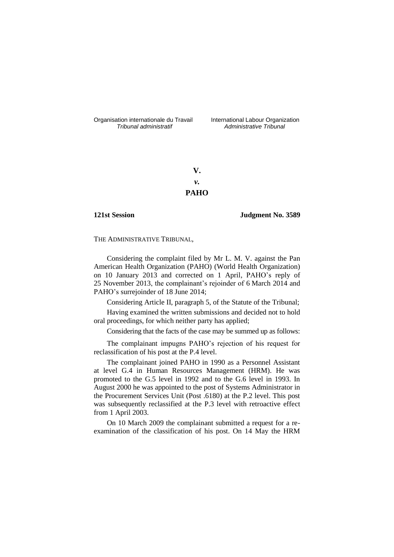Organisation internationale du Travail liternational Labour Organization<br> *Tribunal administratif Administrative Tribunal* 

*Tribunal administratif Administrative Tribunal*

**V.** *v.* **PAHO**

**121st Session Judgment No. 3589**

THE ADMINISTRATIVE TRIBUNAL,

Considering the complaint filed by Mr L. M. V. against the Pan American Health Organization (PAHO) (World Health Organization) on 10 January 2013 and corrected on 1 April, PAHO's reply of 25 November 2013, the complainant's rejoinder of 6 March 2014 and PAHO's surrejoinder of 18 June 2014;

Considering Article II, paragraph 5, of the Statute of the Tribunal;

Having examined the written submissions and decided not to hold oral proceedings, for which neither party has applied;

Considering that the facts of the case may be summed up as follows:

The complainant impugns PAHO's rejection of his request for reclassification of his post at the P.4 level.

The complainant joined PAHO in 1990 as a Personnel Assistant at level G.4 in Human Resources Management (HRM). He was promoted to the G.5 level in 1992 and to the G.6 level in 1993. In August 2000 he was appointed to the post of Systems Administrator in the Procurement Services Unit (Post .6180) at the P.2 level. This post was subsequently reclassified at the P.3 level with retroactive effect from 1 April 2003.

On 10 March 2009 the complainant submitted a request for a reexamination of the classification of his post. On 14 May the HRM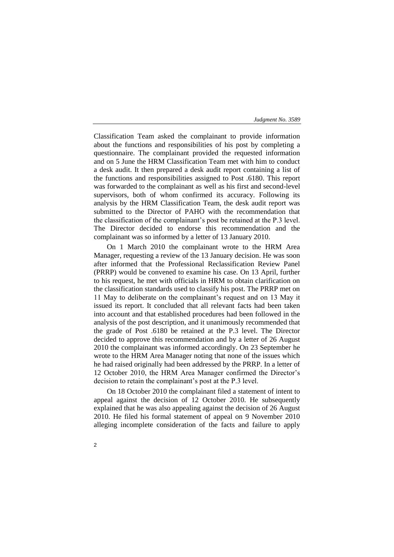Classification Team asked the complainant to provide information about the functions and responsibilities of his post by completing a questionnaire. The complainant provided the requested information and on 5 June the HRM Classification Team met with him to conduct a desk audit. It then prepared a desk audit report containing a list of the functions and responsibilities assigned to Post .6180. This report was forwarded to the complainant as well as his first and second-level supervisors, both of whom confirmed its accuracy. Following its analysis by the HRM Classification Team, the desk audit report was submitted to the Director of PAHO with the recommendation that the classification of the complainant's post be retained at the P.3 level. The Director decided to endorse this recommendation and the complainant was so informed by a letter of 13 January 2010.

On 1 March 2010 the complainant wrote to the HRM Area Manager, requesting a review of the 13 January decision. He was soon after informed that the Professional Reclassification Review Panel (PRRP) would be convened to examine his case. On 13 April, further to his request, he met with officials in HRM to obtain clarification on the classification standards used to classify his post. The PRRP met on 11 May to deliberate on the complainant's request and on 13 May it issued its report. It concluded that all relevant facts had been taken into account and that established procedures had been followed in the analysis of the post description, and it unanimously recommended that the grade of Post .6180 be retained at the P.3 level. The Director decided to approve this recommendation and by a letter of 26 August 2010 the complainant was informed accordingly. On 23 September he wrote to the HRM Area Manager noting that none of the issues which he had raised originally had been addressed by the PRRP. In a letter of 12 October 2010, the HRM Area Manager confirmed the Director's decision to retain the complainant's post at the P.3 level.

On 18 October 2010 the complainant filed a statement of intent to appeal against the decision of 12 October 2010. He subsequently explained that he was also appealing against the decision of 26 August 2010. He filed his formal statement of appeal on 9 November 2010 alleging incomplete consideration of the facts and failure to apply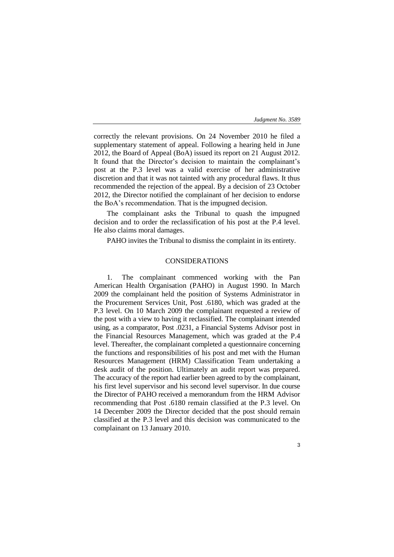3

correctly the relevant provisions. On 24 November 2010 he filed a supplementary statement of appeal. Following a hearing held in June 2012, the Board of Appeal (BoA) issued its report on 21 August 2012. It found that the Director's decision to maintain the complainant's post at the P.3 level was a valid exercise of her administrative discretion and that it was not tainted with any procedural flaws. It thus recommended the rejection of the appeal. By a decision of 23 October 2012, the Director notified the complainant of her decision to endorse the BoA's recommendation. That is the impugned decision.

The complainant asks the Tribunal to quash the impugned decision and to order the reclassification of his post at the P.4 level. He also claims moral damages.

PAHO invites the Tribunal to dismiss the complaint in its entirety.

## CONSIDERATIONS

1. The complainant commenced working with the Pan American Health Organisation (PAHO) in August 1990. In March 2009 the complainant held the position of Systems Administrator in the Procurement Services Unit, Post .6180, which was graded at the P.3 level. On 10 March 2009 the complainant requested a review of the post with a view to having it reclassified. The complainant intended using, as a comparator, Post .0231, a Financial Systems Advisor post in the Financial Resources Management, which was graded at the P.4 level. Thereafter, the complainant completed a questionnaire concerning the functions and responsibilities of his post and met with the Human Resources Management (HRM) Classification Team undertaking a desk audit of the position. Ultimately an audit report was prepared. The accuracy of the report had earlier been agreed to by the complainant, his first level supervisor and his second level supervisor. In due course the Director of PAHO received a memorandum from the HRM Advisor recommending that Post .6180 remain classified at the P.3 level. On 14 December 2009 the Director decided that the post should remain classified at the P.3 level and this decision was communicated to the complainant on 13 January 2010.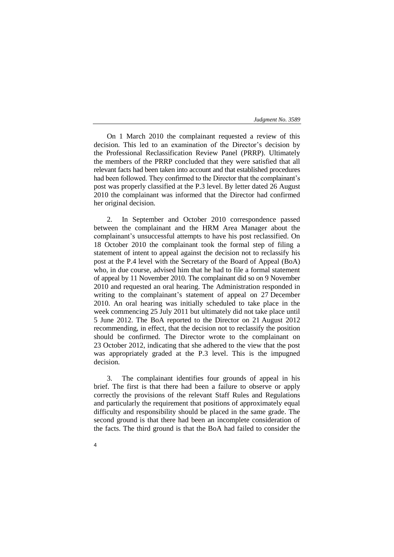On 1 March 2010 the complainant requested a review of this decision. This led to an examination of the Director's decision by the Professional Reclassification Review Panel (PRRP). Ultimately the members of the PRRP concluded that they were satisfied that all relevant facts had been taken into account and that established procedures had been followed. They confirmed to the Director that the complainant's post was properly classified at the P.3 level. By letter dated 26 August 2010 the complainant was informed that the Director had confirmed her original decision.

2. In September and October 2010 correspondence passed between the complainant and the HRM Area Manager about the complainant's unsuccessful attempts to have his post reclassified. On 18 October 2010 the complainant took the formal step of filing a statement of intent to appeal against the decision not to reclassify his post at the P.4 level with the Secretary of the Board of Appeal (BoA) who, in due course, advised him that he had to file a formal statement of appeal by 11 November 2010. The complainant did so on 9 November 2010 and requested an oral hearing. The Administration responded in writing to the complainant's statement of appeal on 27 December 2010. An oral hearing was initially scheduled to take place in the week commencing 25 July 2011 but ultimately did not take place until 5 June 2012. The BoA reported to the Director on 21 August 2012 recommending, in effect, that the decision not to reclassify the position should be confirmed. The Director wrote to the complainant on 23 October 2012, indicating that she adhered to the view that the post was appropriately graded at the P.3 level. This is the impugned decision.

3. The complainant identifies four grounds of appeal in his brief. The first is that there had been a failure to observe or apply correctly the provisions of the relevant Staff Rules and Regulations and particularly the requirement that positions of approximately equal difficulty and responsibility should be placed in the same grade. The second ground is that there had been an incomplete consideration of the facts. The third ground is that the BoA had failed to consider the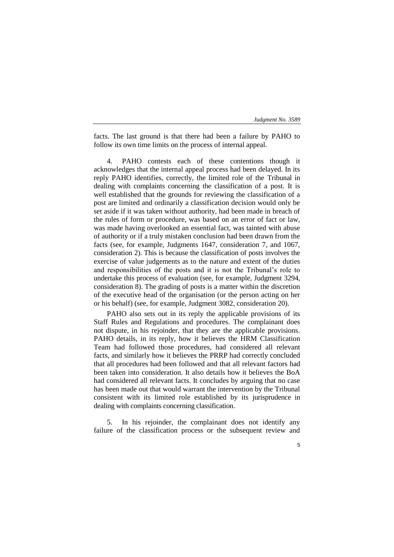facts. The last ground is that there had been a failure by PAHO to follow its own time limits on the process of internal appeal.

PAHO contests each of these contentions though it acknowledges that the internal appeal process had been delayed. In its reply PAHO identifies, correctly, the limited role of the Tribunal in dealing with complaints concerning the classification of a post. It is well established that the grounds for reviewing the classification of a post are limited and ordinarily a classification decision would only be set aside if it was taken without authority, had been made in breach of the rules of form or procedure, was based on an error of fact or law, was made having overlooked an essential fact, was tainted with abuse of authority or if a truly mistaken conclusion had been drawn from the facts (see, for example, Judgments 1647, consideration 7, and 1067, consideration 2). This is because the classification of posts involves the exercise of value judgements as to the nature and extent of the duties and responsibilities of the posts and it is not the Tribunal's role to undertake this process of evaluation (see, for example, Judgment 3294, consideration 8). The grading of posts is a matter within the discretion of the executive head of the organisation (or the person acting on her or his behalf) (see, for example, Judgment 3082, consideration 20).

PAHO also sets out in its reply the applicable provisions of its Staff Rules and Regulations and procedures. The complainant does not dispute, in his rejoinder, that they are the applicable provisions. PAHO details, in its reply, how it believes the HRM Classification Team had followed those procedures, had considered all relevant facts, and similarly how it believes the PRRP had correctly concluded that all procedures had been followed and that all relevant factors had been taken into consideration. It also details how it believes the BoA had considered all relevant facts. It concludes by arguing that no case has been made out that would warrant the intervention by the Tribunal consistent with its limited role established by its jurisprudence in dealing with complaints concerning classification.

5. In his rejoinder, the complainant does not identify any failure of the classification process or the subsequent review and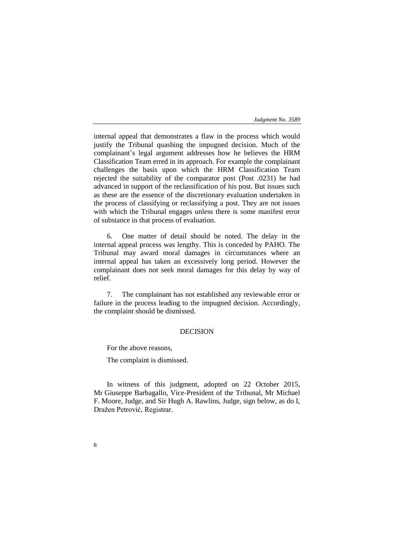internal appeal that demonstrates a flaw in the process which would justify the Tribunal quashing the impugned decision. Much of the complainant's legal argument addresses how he believes the HRM Classification Team erred in its approach. For example the complainant challenges the basis upon which the HRM Classification Team rejected the suitability of the comparator post (Post .0231) he had advanced in support of the reclassification of his post. But issues such as these are the essence of the discretionary evaluation undertaken in the process of classifying or reclassifying a post. They are not issues with which the Tribunal engages unless there is some manifest error of substance in that process of evaluation.

6. One matter of detail should be noted. The delay in the internal appeal process was lengthy. This is conceded by PAHO. The Tribunal may award moral damages in circumstances where an internal appeal has taken an excessively long period. However the complainant does not seek moral damages for this delay by way of relief.

7. The complainant has not established any reviewable error or failure in the process leading to the impugned decision. Accordingly, the complaint should be dismissed.

# DECISION

For the above reasons,

The complaint is dismissed.

In witness of this judgment, adopted on 22 October 2015, Mr Giuseppe Barbagallo, Vice-President of the Tribunal, Mr Michael F. Moore, Judge, and Sir Hugh A. Rawlins, Judge, sign below, as do I, Dražen Petrović, Registrar.